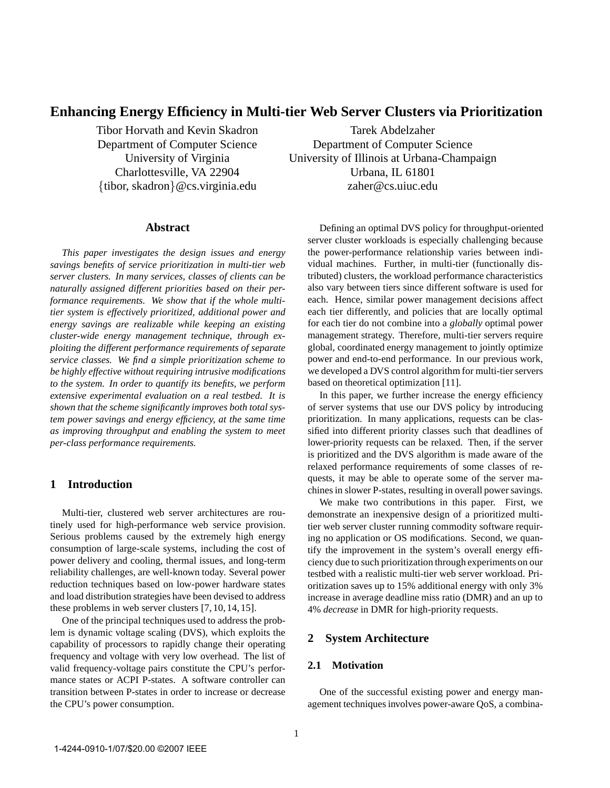# **Enhancing Energy Efficiency in Multi-tier Web Server Clusters via Prioritization**

Tibor Horvath and Kevin Skadron Department of Computer Science University of Virginia Charlottesville, VA 22904 {tibor, skadron}@cs.virginia.edu

Tarek Abdelzaher Department of Computer Science University of Illinois at Urbana-Champaign Urbana, IL 61801 zaher@cs.uiuc.edu

# **Abstract**

*This paper investigates the design issues and energy savings benefits of service prioritization in multi-tier web server clusters. In many services, classes of clients can be naturally assigned different priorities based on their performance requirements. We show that if the whole multitier system is effectively prioritized, additional power and energy savings are realizable while keeping an existing cluster-wide energy management technique, through exploiting the different performance requirements of separate service classes. We find a simple prioritization scheme to be highly effective without requiring intrusive modifications to the system. In order to quantify its benefits, we perform extensive experimental evaluation on a real testbed. It is shown that the scheme significantly improves both total system power savings and energy efficiency, at the same time as improving throughput and enabling the system to meet per-class performance requirements.*

# **1 Introduction**

Multi-tier, clustered web server architectures are routinely used for high-performance web service provision. Serious problems caused by the extremely high energy consumption of large-scale systems, including the cost of power delivery and cooling, thermal issues, and long-term reliability challenges, are well-known today. Several power reduction techniques based on low-power hardware states and load distribution strategies have been devised to address these problems in web server clusters [7, 10, 14, 15].

One of the principal techniques used to address the problem is dynamic voltage scaling (DVS), which exploits the capability of processors to rapidly change their operating frequency and voltage with very low overhead. The list of valid frequency-voltage pairs constitute the CPU's performance states or ACPI P-states. A software controller can transition between P-states in order to increase or decrease the CPU's power consumption.

Defining an optimal DVS policy for throughput-oriented server cluster workloads is especially challenging because the power-performance relationship varies between individual machines. Further, in multi-tier (functionally distributed) clusters, the workload performance characteristics also vary between tiers since different software is used for each. Hence, similar power management decisions affect each tier differently, and policies that are locally optimal for each tier do not combine into a *globally* optimal power management strategy. Therefore, multi-tier servers require global, coordinated energy management to jointly optimize power and end-to-end performance. In our previous work, we developed a DVS control algorithm for multi-tier servers based on theoretical optimization [11].

In this paper, we further increase the energy efficiency of server systems that use our DVS policy by introducing prioritization. In many applications, requests can be classified into different priority classes such that deadlines of lower-priority requests can be relaxed. Then, if the server is prioritized and the DVS algorithm is made aware of the relaxed performance requirements of some classes of requests, it may be able to operate some of the server machines in slower P-states, resulting in overall power savings.

We make two contributions in this paper. First, we demonstrate an inexpensive design of a prioritized multitier web server cluster running commodity software requiring no application or OS modifications. Second, we quantify the improvement in the system's overall energy efficiency due to such prioritization through experiments on our testbed with a realistic multi-tier web server workload. Prioritization saves up to 15% additional energy with only 3% increase in average deadline miss ratio (DMR) and an up to 4% *decrease* in DMR for high-priority requests.

## **2 System Architecture**

#### **2.1 Motivation**

One of the successful existing power and energy management techniques involves power-aware QoS, a combina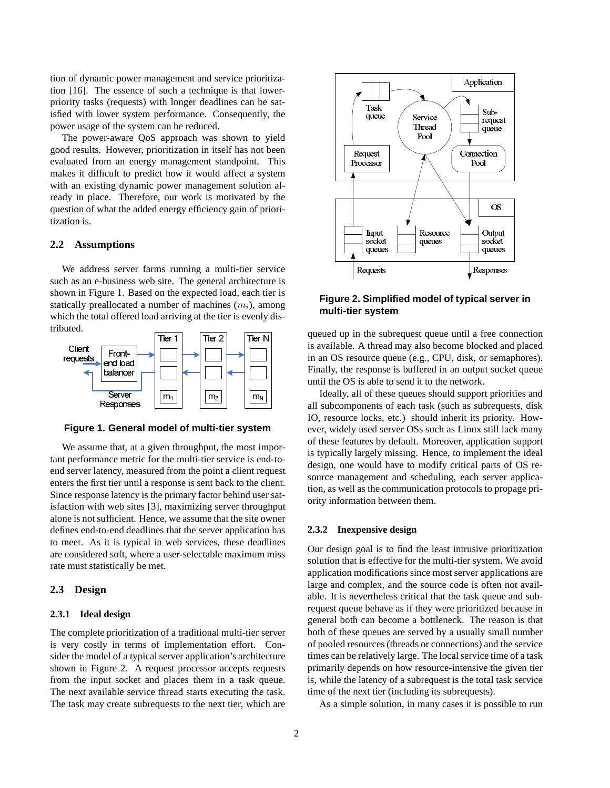tion of dynamic power management and service prioritization [16]. The essence of such a technique is that lowerpriority tasks (requests) with longer deadlines can be satisfied with lower system performance. Consequently, the power usage of the system can be reduced.

The power-aware QoS approach was shown to yield good results. However, prioritization in itself has not been evaluated from an energy management standpoint. This makes it difficult to predict how it would affect a system with an existing dynamic power management solution already in place. Therefore, our work is motivated by the question of what the added energy efficiency gain of prioritization is.

## **2.2 Assumptions**

We address server farms running a multi-tier service such as an e-business web site. The general architecture is shown in Figure 1. Based on the expected load, each tier is statically preallocated a number of machines  $(m_i)$ , among which the total offered load arriving at the tier is evenly distributed.



**Figure 1. General model of multi-tier system**

We assume that, at a given throughput, the most important performance metric for the multi-tier service is end-toend server latency, measured from the point a client request enters the first tier until a response is sent back to the client. Since response latency is the primary factor behind user satisfaction with web sites [3], maximizing server throughput alone is not sufficient. Hence, we assume that the site owner defines end-to-end deadlines that the server application has to meet. As it is typical in web services, these deadlines are considered soft, where a user-selectable maximum miss rate must statistically be met.

### **2.3 Design**

#### **2.3.1 Ideal design**

The complete prioritization of a traditional multi-tier server is very costly in terms of implementation effort. Consider the model of a typical server application's architecture shown in Figure 2. A request processor accepts requests from the input socket and places them in a task queue. The next available service thread starts executing the task. The task may create subrequests to the next tier, which are



**Figure 2. Simplified model of typical server in multi-tier system**

queued up in the subrequest queue until a free connection is available. A thread may also become blocked and placed in an OS resource queue (e.g., CPU, disk, or semaphores). Finally, the response is buffered in an output socket queue until the OS is able to send it to the network.

Ideally, all of these queues should support priorities and all subcomponents of each task (such as subrequests, disk IO, resource locks, etc.) should inherit its priority. However, widely used server OSs such as Linux still lack many of these features by default. Moreover, application support is typically largely missing. Hence, to implement the ideal design, one would have to modify critical parts of OS resource management and scheduling, each server application, as well as the communication protocols to propage priority information between them.

### **2.3.2 Inexpensive design**

Our design goal is to find the least intrusive prioritization solution that is effective for the multi-tier system. We avoid application modifications since most server applications are large and complex, and the source code is often not available. It is nevertheless critical that the task queue and subrequest queue behave as if they were prioritized because in general both can become a bottleneck. The reason is that both of these queues are served by a usually small number of pooled resources (threads or connections) and the service times can be relatively large. The local service time of a task primarily depends on how resource-intensive the given tier is, while the latency of a subrequest is the total task service time of the next tier (including its subrequests).

As a simple solution, in many cases it is possible to run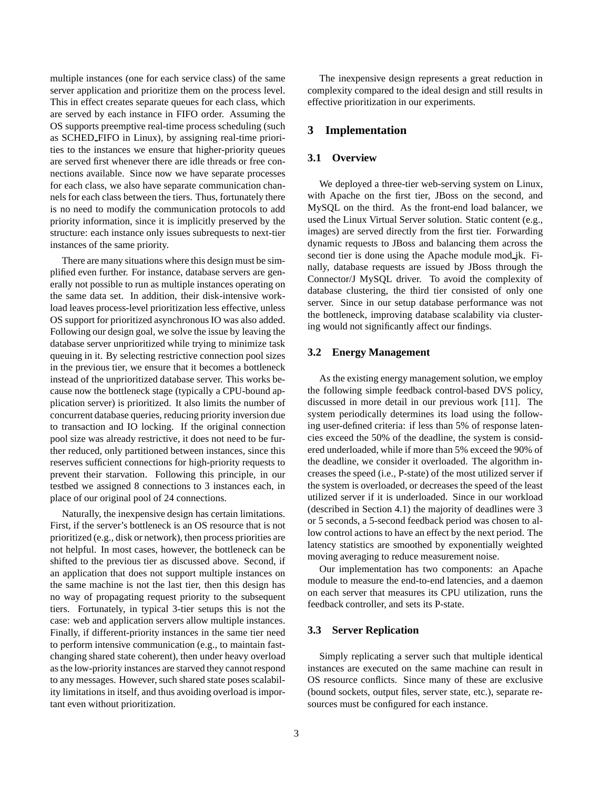multiple instances (one for each service class) of the same server application and prioritize them on the process level. This in effect creates separate queues for each class, which are served by each instance in FIFO order. Assuming the OS supports preemptive real-time process scheduling (such as SCHED FIFO in Linux), by assigning real-time priorities to the instances we ensure that higher-priority queues are served first whenever there are idle threads or free connections available. Since now we have separate processes for each class, we also have separate communication channels for each class between the tiers. Thus, fortunately there is no need to modify the communication protocols to add priority information, since it is implicitly preserved by the structure: each instance only issues subrequests to next-tier instances of the same priority.

There are many situations where this design must be simplified even further. For instance, database servers are generally not possible to run as multiple instances operating on the same data set. In addition, their disk-intensive workload leaves process-level prioritization less effective, unless OS support for prioritized asynchronous IO was also added. Following our design goal, we solve the issue by leaving the database server unprioritized while trying to minimize task queuing in it. By selecting restrictive connection pool sizes in the previous tier, we ensure that it becomes a bottleneck instead of the unprioritized database server. This works because now the bottleneck stage (typically a CPU-bound application server) is prioritized. It also limits the number of concurrent database queries, reducing priority inversion due to transaction and IO locking. If the original connection pool size was already restrictive, it does not need to be further reduced, only partitioned between instances, since this reserves sufficient connections for high-priority requests to prevent their starvation. Following this principle, in our testbed we assigned 8 connections to 3 instances each, in place of our original pool of 24 connections.

Naturally, the inexpensive design has certain limitations. First, if the server's bottleneck is an OS resource that is not prioritized (e.g., disk or network), then process priorities are not helpful. In most cases, however, the bottleneck can be shifted to the previous tier as discussed above. Second, if an application that does not support multiple instances on the same machine is not the last tier, then this design has no way of propagating request priority to the subsequent tiers. Fortunately, in typical 3-tier setups this is not the case: web and application servers allow multiple instances. Finally, if different-priority instances in the same tier need to perform intensive communication (e.g., to maintain fastchanging shared state coherent), then under heavy overload as the low-priority instances are starved they cannot respond to any messages. However, such shared state poses scalability limitations in itself, and thus avoiding overload is important even without prioritization.

The inexpensive design represents a great reduction in complexity compared to the ideal design and still results in effective prioritization in our experiments.

# **3 Implementation**

# **3.1 Overview**

We deployed a three-tier web-serving system on Linux, with Apache on the first tier, JBoss on the second, and MySQL on the third. As the front-end load balancer, we used the Linux Virtual Server solution. Static content (e.g., images) are served directly from the first tier. Forwarding dynamic requests to JBoss and balancing them across the second tier is done using the Apache module mod jk. Finally, database requests are issued by JBoss through the Connector/J MySQL driver. To avoid the complexity of database clustering, the third tier consisted of only one server. Since in our setup database performance was not the bottleneck, improving database scalability via clustering would not significantly affect our findings.

#### **3.2 Energy Management**

As the existing energy management solution, we employ the following simple feedback control-based DVS policy, discussed in more detail in our previous work [11]. The system periodically determines its load using the following user-defined criteria: if less than 5% of response latencies exceed the 50% of the deadline, the system is considered underloaded, while if more than 5% exceed the 90% of the deadline, we consider it overloaded. The algorithm increases the speed (i.e., P-state) of the most utilized server if the system is overloaded, or decreases the speed of the least utilized server if it is underloaded. Since in our workload (described in Section 4.1) the majority of deadlines were 3 or 5 seconds, a 5-second feedback period was chosen to allow control actions to have an effect by the next period. The latency statistics are smoothed by exponentially weighted moving averaging to reduce measurement noise.

Our implementation has two components: an Apache module to measure the end-to-end latencies, and a daemon on each server that measures its CPU utilization, runs the feedback controller, and sets its P-state.

## **3.3 Server Replication**

Simply replicating a server such that multiple identical instances are executed on the same machine can result in OS resource conflicts. Since many of these are exclusive (bound sockets, output files, server state, etc.), separate resources must be configured for each instance.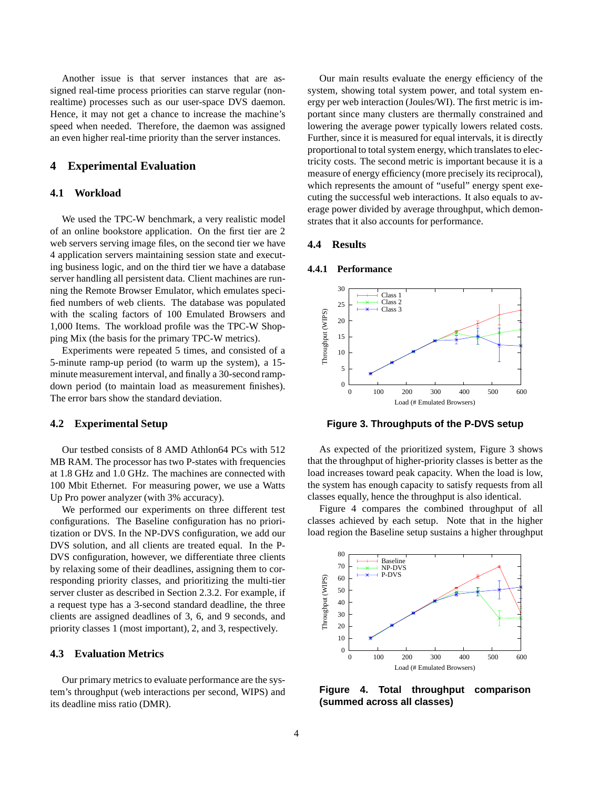Another issue is that server instances that are assigned real-time process priorities can starve regular (nonrealtime) processes such as our user-space DVS daemon. Hence, it may not get a chance to increase the machine's speed when needed. Therefore, the daemon was assigned an even higher real-time priority than the server instances.

# **4 Experimental Evaluation**

## **4.1 Workload**

We used the TPC-W benchmark, a very realistic model of an online bookstore application. On the first tier are 2 web servers serving image files, on the second tier we have 4 application servers maintaining session state and executing business logic, and on the third tier we have a database server handling all persistent data. Client machines are running the Remote Browser Emulator, which emulates specified numbers of web clients. The database was populated with the scaling factors of 100 Emulated Browsers and 1,000 Items. The workload profile was the TPC-W Shopping Mix (the basis for the primary TPC-W metrics).

Experiments were repeated 5 times, and consisted of a 5-minute ramp-up period (to warm up the system), a 15 minute measurement interval, and finally a 30-second rampdown period (to maintain load as measurement finishes). The error bars show the standard deviation.

## **4.2 Experimental Setup**

Our testbed consists of 8 AMD Athlon64 PCs with 512 MB RAM. The processor has two P-states with frequencies at 1.8 GHz and 1.0 GHz. The machines are connected with 100 Mbit Ethernet. For measuring power, we use a Watts Up Pro power analyzer (with 3% accuracy).

We performed our experiments on three different test configurations. The Baseline configuration has no prioritization or DVS. In the NP-DVS configuration, we add our DVS solution, and all clients are treated equal. In the P-DVS configuration, however, we differentiate three clients by relaxing some of their deadlines, assigning them to corresponding priority classes, and prioritizing the multi-tier server cluster as described in Section 2.3.2. For example, if a request type has a 3-second standard deadline, the three clients are assigned deadlines of 3, 6, and 9 seconds, and priority classes 1 (most important), 2, and 3, respectively.

#### **4.3 Evaluation Metrics**

Our primary metrics to evaluate performance are the system's throughput (web interactions per second, WIPS) and its deadline miss ratio (DMR).

Our main results evaluate the energy efficiency of the system, showing total system power, and total system energy per web interaction (Joules/WI). The first metric is important since many clusters are thermally constrained and lowering the average power typically lowers related costs. Further, since it is measured for equal intervals, it is directly proportional to total system energy, which translates to electricity costs. The second metric is important because it is a measure of energy efficiency (more precisely its reciprocal), which represents the amount of "useful" energy spent executing the successful web interactions. It also equals to average power divided by average throughput, which demonstrates that it also accounts for performance.

### **4.4 Results**

# **4.4.1 Performance**



**Figure 3. Throughputs of the P-DVS setup**

As expected of the prioritized system, Figure 3 shows that the throughput of higher-priority classes is better as the load increases toward peak capacity. When the load is low, the system has enough capacity to satisfy requests from all classes equally, hence the throughput is also identical.

Figure 4 compares the combined throughput of all classes achieved by each setup. Note that in the higher load region the Baseline setup sustains a higher throughput



**Figure 4. Total throughput comparison (summed across all classes)**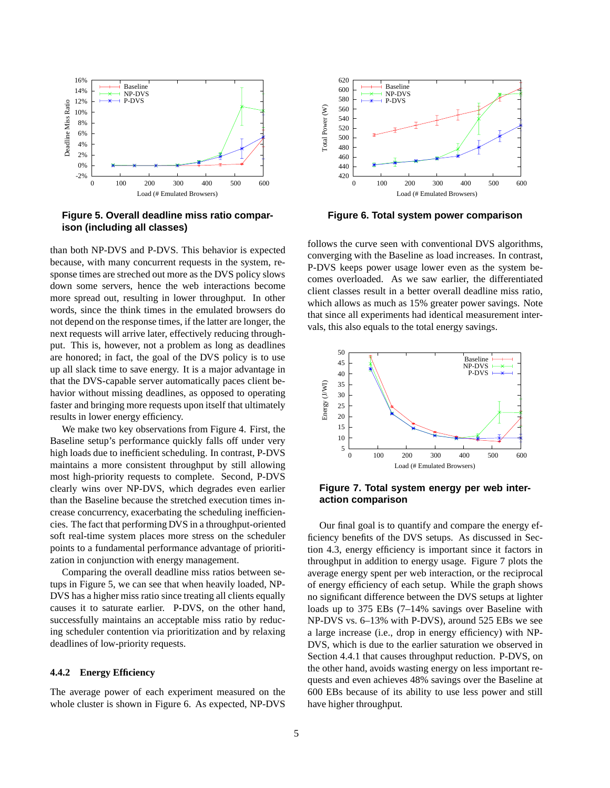

**Figure 5. Overall deadline miss ratio comparison (including all classes)**

than both NP-DVS and P-DVS. This behavior is expected because, with many concurrent requests in the system, response times are streched out more as the DVS policy slows down some servers, hence the web interactions become more spread out, resulting in lower throughput. In other words, since the think times in the emulated browsers do not depend on the response times, if the latter are longer, the next requests will arrive later, effectively reducing throughput. This is, however, not a problem as long as deadlines are honored; in fact, the goal of the DVS policy is to use up all slack time to save energy. It is a major advantage in that the DVS-capable server automatically paces client behavior without missing deadlines, as opposed to operating faster and bringing more requests upon itself that ultimately results in lower energy efficiency.

We make two key observations from Figure 4. First, the Baseline setup's performance quickly falls off under very high loads due to inefficient scheduling. In contrast, P-DVS maintains a more consistent throughput by still allowing most high-priority requests to complete. Second, P-DVS clearly wins over NP-DVS, which degrades even earlier than the Baseline because the stretched execution times increase concurrency, exacerbating the scheduling inefficiencies. The fact that performing DVS in a throughput-oriented soft real-time system places more stress on the scheduler points to a fundamental performance advantage of prioritization in conjunction with energy management.

Comparing the overall deadline miss ratios between setups in Figure 5, we can see that when heavily loaded, NP-DVS has a higher miss ratio since treating all clients equally causes it to saturate earlier. P-DVS, on the other hand, successfully maintains an acceptable miss ratio by reducing scheduler contention via prioritization and by relaxing deadlines of low-priority requests.

### **4.4.2 Energy Efficiency**

The average power of each experiment measured on the whole cluster is shown in Figure 6. As expected, NP-DVS



**Figure 6. Total system power comparison**

follows the curve seen with conventional DVS algorithms, converging with the Baseline as load increases. In contrast, P-DVS keeps power usage lower even as the system becomes overloaded. As we saw earlier, the differentiated client classes result in a better overall deadline miss ratio, which allows as much as 15% greater power savings. Note that since all experiments had identical measurement intervals, this also equals to the total energy savings.



**Figure 7. Total system energy per web interaction comparison**

Our final goal is to quantify and compare the energy efficiency benefits of the DVS setups. As discussed in Section 4.3, energy efficiency is important since it factors in throughput in addition to energy usage. Figure 7 plots the average energy spent per web interaction, or the reciprocal of energy efficiency of each setup. While the graph shows no significant difference between the DVS setups at lighter loads up to 375 EBs (7–14% savings over Baseline with NP-DVS vs. 6–13% with P-DVS), around 525 EBs we see a large increase (i.e., drop in energy efficiency) with NP-DVS, which is due to the earlier saturation we observed in Section 4.4.1 that causes throughput reduction. P-DVS, on the other hand, avoids wasting energy on less important requests and even achieves 48% savings over the Baseline at 600 EBs because of its ability to use less power and still have higher throughput.